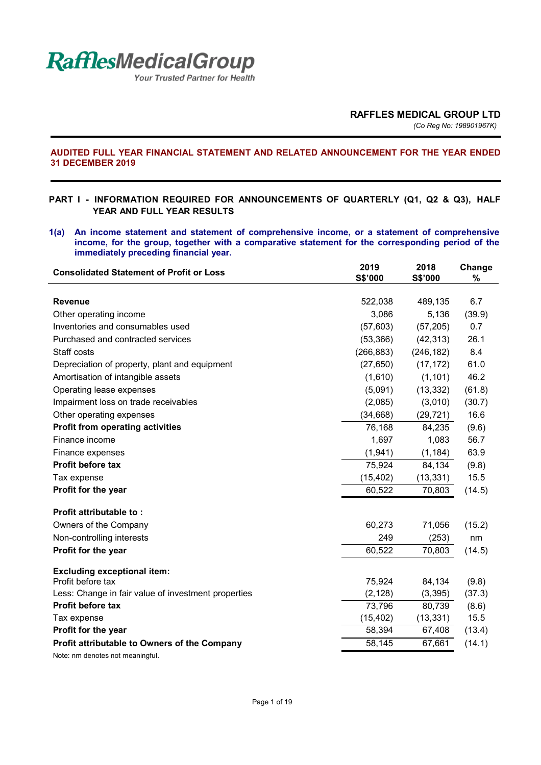

Your Trusted Partner for Health

### **AUDITED FULL YEAR FINANCIAL STATEMENT AND RELATED ANNOUNCEMENT FOR THE YEAR ENDED 31 DECEMBER 2019**

## **PART I - INFORMATION REQUIRED FOR ANNOUNCEMENTS OF QUARTERLY (Q1, Q2 & Q3), HALF YEAR AND FULL YEAR RESULTS**

**1(a) An income statement and statement of comprehensive income, or a statement of comprehensive income, for the group, together with a comparative statement for the corresponding period of the immediately preceding financial year.** 

| <b>Consolidated Statement of Profit or Loss</b>     | 2019<br>S\$'000 | 2018<br>S\$'000 | Change<br>% |
|-----------------------------------------------------|-----------------|-----------------|-------------|
|                                                     |                 |                 |             |
| <b>Revenue</b>                                      | 522,038         | 489,135         | 6.7         |
| Other operating income                              | 3,086           | 5,136           | (39.9)      |
| Inventories and consumables used                    | (57, 603)       | (57, 205)       | 0.7         |
| Purchased and contracted services                   | (53, 366)       | (42, 313)       | 26.1        |
| Staff costs                                         | (266, 883)      | (246, 182)      | 8.4         |
| Depreciation of property, plant and equipment       | (27, 650)       | (17, 172)       | 61.0        |
| Amortisation of intangible assets                   | (1,610)         | (1, 101)        | 46.2        |
| Operating lease expenses                            | (5,091)         | (13, 332)       | (61.8)      |
| Impairment loss on trade receivables                | (2,085)         | (3,010)         | (30.7)      |
| Other operating expenses                            | (34, 668)       | (29, 721)       | 16.6        |
| <b>Profit from operating activities</b>             | 76,168          | 84,235          | (9.6)       |
| Finance income                                      | 1,697           | 1,083           | 56.7        |
| Finance expenses                                    | (1, 941)        | (1, 184)        | 63.9        |
| <b>Profit before tax</b>                            | 75,924          | 84,134          | (9.8)       |
| Tax expense                                         | (15, 402)       | (13, 331)       | 15.5        |
| Profit for the year                                 | 60,522          | 70,803          | (14.5)      |
| <b>Profit attributable to:</b>                      |                 |                 |             |
| Owners of the Company                               | 60,273          | 71,056          | (15.2)      |
| Non-controlling interests                           | 249             | (253)           | nm          |
| Profit for the year                                 | 60,522          | 70,803          | (14.5)      |
| <b>Excluding exceptional item:</b>                  |                 |                 |             |
| Profit before tax                                   | 75,924          | 84,134          | (9.8)       |
| Less: Change in fair value of investment properties | (2, 128)        | (3, 395)        | (37.3)      |
| Profit before tax                                   | 73,796          | 80,739          | (8.6)       |
| Tax expense                                         | (15, 402)       | (13, 331)       | 15.5        |
| Profit for the year                                 | 58,394          | 67,408          | (13.4)      |
| Profit attributable to Owners of the Company        | 58,145          | 67,661          | (14.1)      |
| Note: nm denotes not meaningful.                    |                 |                 |             |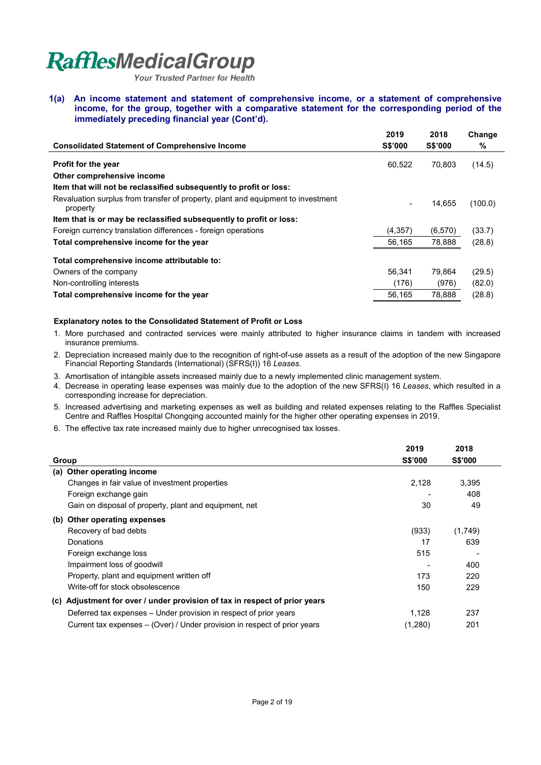**Your Trusted Partner for Health** 

**1(a) An income statement and statement of comprehensive income, or a statement of comprehensive income, for the group, together with a comparative statement for the corresponding period of the immediately preceding financial year (Cont'd).** 

|                                                                                              | 2019     | 2018           | Change  |
|----------------------------------------------------------------------------------------------|----------|----------------|---------|
| <b>Consolidated Statement of Comprehensive Income</b>                                        | S\$'000  | <b>S\$'000</b> | %       |
| <b>Profit for the year</b>                                                                   | 60,522   | 70.803         | (14.5)  |
| Other comprehensive income                                                                   |          |                |         |
| Item that will not be reclassified subsequently to profit or loss:                           |          |                |         |
| Revaluation surplus from transfer of property, plant and equipment to investment<br>property |          | 14.655         | (100.0) |
| Item that is or may be reclassified subsequently to profit or loss:                          |          |                |         |
| Foreign currency translation differences - foreign operations                                | (4, 357) | (6,570)        | (33.7)  |
| Total comprehensive income for the year                                                      | 56,165   | 78,888         | (28.8)  |
| Total comprehensive income attributable to:                                                  |          |                |         |
| Owners of the company                                                                        | 56.341   | 79.864         | (29.5)  |
| Non-controlling interests                                                                    | (176)    | (976)          | (82.0)  |
| Total comprehensive income for the year                                                      | 56.165   | 78.888         | (28.8)  |

### **Explanatory notes to the Consolidated Statement of Profit or Loss**

- 1. More purchased and contracted services were mainly attributed to higher insurance claims in tandem with increased insurance premiums.
- 2. Depreciation increased mainly due to the recognition of right-of-use assets as a result of the adoption of the new Singapore Financial Reporting Standards (International) (SFRS(I)) 16 *Leases*.
- 3. Amortisation of intangible assets increased mainly due to a newly implemented clinic management system.
- 4. Decrease in operating lease expenses was mainly due to the adoption of the new SFRS(I) 16 *Leases*, which resulted in a corresponding increase for depreciation.
- 5. Increased advertising and marketing expenses as well as building and related expenses relating to the Raffles Specialist Centre and Raffles Hospital Chongqing accounted mainly for the higher other operating expenses in 2019.
- 6. The effective tax rate increased mainly due to higher unrecognised tax losses.

|                                                                               | 2019                     | 2018           |
|-------------------------------------------------------------------------------|--------------------------|----------------|
| Group                                                                         | <b>S\$'000</b>           | <b>S\$'000</b> |
| (a) Other operating income                                                    |                          |                |
| Changes in fair value of investment properties                                | 2,128                    | 3,395          |
| Foreign exchange gain                                                         | $\overline{\phantom{a}}$ | 408            |
| Gain on disposal of property, plant and equipment, net                        | 30                       | 49             |
| Other operating expenses<br>(b)                                               |                          |                |
| Recovery of bad debts                                                         | (933)                    | (1,749)        |
| Donations                                                                     | 17                       | 639            |
| Foreign exchange loss                                                         | 515                      |                |
| Impairment loss of goodwill                                                   |                          | 400            |
| Property, plant and equipment written off                                     | 173                      | 220            |
| Write-off for stock obsolescence                                              | 150                      | 229            |
| Adjustment for over / under provision of tax in respect of prior years<br>(C) |                          |                |
| Deferred tax expenses – Under provision in respect of prior years             | 1,128                    | 237            |
| Current tax expenses – (Over) / Under provision in respect of prior years     | (1,280)                  | 201            |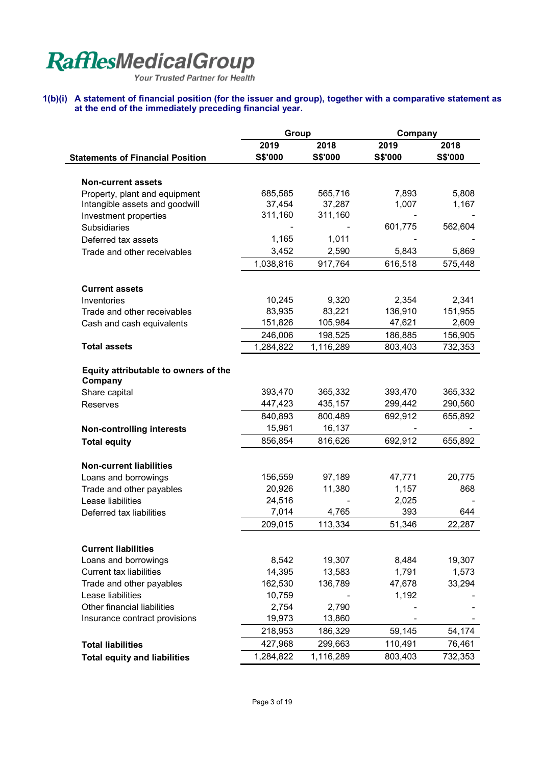Your Trusted Partner for Health

## **1(b)(i) A statement of financial position (for the issuer and group), together with a comparative statement as at the end of the immediately preceding financial year.**

|                                         | Group           |           | Company      |         |
|-----------------------------------------|-----------------|-----------|--------------|---------|
|                                         | 2019            | 2018      | 2019         | 2018    |
| <b>Statements of Financial Position</b> | S\$'000         | S\$'000   | S\$'000      | S\$'000 |
|                                         |                 |           |              |         |
| <b>Non-current assets</b>               |                 |           |              |         |
| Property, plant and equipment           | 685,585         | 565,716   | 7,893        | 5,808   |
| Intangible assets and goodwill          | 37,454          | 37,287    | 1,007        | 1,167   |
| Investment properties                   | 311,160         | 311,160   |              |         |
| <b>Subsidiaries</b>                     |                 |           | 601,775      | 562,604 |
| Deferred tax assets                     | 1,165           | 1,011     |              |         |
| Trade and other receivables             | 3,452           | 2,590     | 5,843        | 5,869   |
|                                         | 1,038,816       | 917,764   | 616,518      | 575,448 |
| <b>Current assets</b>                   |                 |           |              |         |
| Inventories                             | 10,245          | 9,320     | 2,354        | 2,341   |
| Trade and other receivables             | 83,935          | 83,221    | 136,910      | 151,955 |
| Cash and cash equivalents               | 151,826         | 105,984   | 47,621       | 2,609   |
|                                         | 246,006         | 198,525   | 186,885      | 156,905 |
| <b>Total assets</b>                     | 1,284,822       | 1,116,289 | 803,403      | 732,353 |
| Equity attributable to owners of the    |                 |           |              |         |
| Company                                 |                 |           |              |         |
| Share capital                           | 393,470         | 365,332   | 393,470      | 365,332 |
| <b>Reserves</b>                         | 447,423         | 435,157   | 299,442      | 290,560 |
|                                         | 840,893         | 800,489   | 692,912      | 655,892 |
| <b>Non-controlling interests</b>        | 15,961          | 16,137    |              |         |
| <b>Total equity</b>                     | 856,854         | 816,626   | 692,912      | 655,892 |
|                                         |                 |           |              |         |
| <b>Non-current liabilities</b>          | 156,559         | 97,189    |              |         |
| Loans and borrowings                    | 20,926          | 11,380    | 47,771       | 20,775  |
| Trade and other payables                |                 |           | 1,157        | 868     |
| Lease liabilities                       | 24,516<br>7,014 |           | 2,025<br>393 |         |
| Deferred tax liabilities                |                 | 4,765     |              | 644     |
|                                         | 209,015         | 113,334   | 51,346       | 22,287  |
| <b>Current liabilities</b>              |                 |           |              |         |
| Loans and borrowings                    | 8,542           | 19,307    | 8,484        | 19,307  |
| <b>Current tax liabilities</b>          | 14,395          | 13,583    | 1,791        | 1,573   |
| Trade and other payables                | 162,530         | 136,789   | 47,678       | 33,294  |
| Lease liabilities                       | 10,759          |           | 1,192        |         |
| Other financial liabilities             | 2,754           | 2,790     |              |         |
| Insurance contract provisions           | 19,973          | 13,860    |              |         |
|                                         | 218,953         | 186,329   | 59,145       | 54,174  |
| <b>Total liabilities</b>                | 427,968         | 299,663   | 110,491      | 76,461  |
| <b>Total equity and liabilities</b>     | 1,284,822       | 1,116,289 | 803,403      | 732,353 |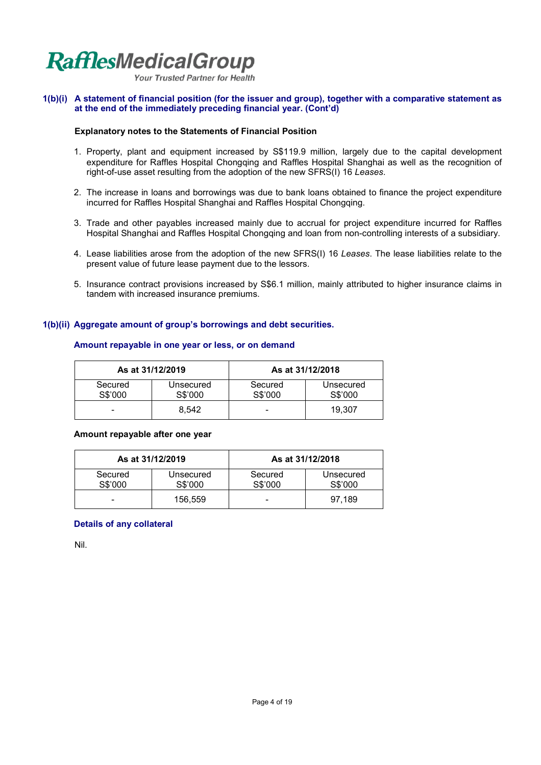

**Your Trusted Partner for Health** 

### **1(b)(i) A statement of financial position (for the issuer and group), together with a comparative statement as at the end of the immediately preceding financial year. (Cont'd)**

### **Explanatory notes to the Statements of Financial Position**

- 1. Property, plant and equipment increased by S\$119.9 million, largely due to the capital development expenditure for Raffles Hospital Chongqing and Raffles Hospital Shanghai as well as the recognition of right-of-use asset resulting from the adoption of the new SFRS(I) 16 *Leases*.
- 2. The increase in loans and borrowings was due to bank loans obtained to finance the project expenditure incurred for Raffles Hospital Shanghai and Raffles Hospital Chongqing.
- 3. Trade and other payables increased mainly due to accrual for project expenditure incurred for Raffles Hospital Shanghai and Raffles Hospital Chongqing and loan from non-controlling interests of a subsidiary.
- 4. Lease liabilities arose from the adoption of the new SFRS(I) 16 *Leases*. The lease liabilities relate to the present value of future lease payment due to the lessors.
- 5. Insurance contract provisions increased by S\$6.1 million, mainly attributed to higher insurance claims in tandem with increased insurance premiums.

## **1(b)(ii) Aggregate amount of group's borrowings and debt securities.**

|                          | As at 31/12/2019     | As at 31/12/2018   |                      |  |  |
|--------------------------|----------------------|--------------------|----------------------|--|--|
| Secured<br>S\$'000       | Unsecured<br>S\$'000 | Secured<br>S\$'000 | Unsecured<br>S\$'000 |  |  |
| $\overline{\phantom{0}}$ | 8.542                |                    | 19.307               |  |  |

### **Amount repayable in one year or less, or on demand**

#### **Amount repayable after one year**

|                    | As at 31/12/2019     | As at 31/12/2018   |                      |  |  |
|--------------------|----------------------|--------------------|----------------------|--|--|
| Secured<br>S\$'000 | Unsecured<br>S\$'000 | Secured<br>S\$'000 | Unsecured<br>S\$'000 |  |  |
| -                  | 156.559              | -                  | 97.189               |  |  |

### **Details of any collateral**

Nil.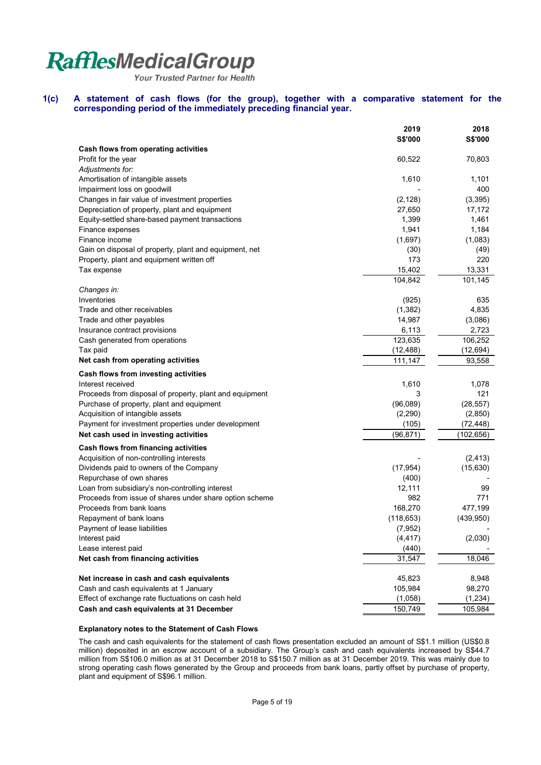Your Trusted Partner for Health

#### **1(c) A statement of cash flows (for the group), together with a comparative statement for the corresponding period of the immediately preceding financial year.**

|                                                                                  | 2019       | 2018       |
|----------------------------------------------------------------------------------|------------|------------|
| Cash flows from operating activities                                             | S\$'000    | S\$'000    |
| Profit for the year                                                              | 60,522     | 70,803     |
| Adjustments for:                                                                 |            |            |
| Amortisation of intangible assets                                                | 1,610      | 1,101      |
| Impairment loss on goodwill                                                      |            | 400        |
| Changes in fair value of investment properties                                   | (2, 128)   | (3, 395)   |
| Depreciation of property, plant and equipment                                    | 27,650     | 17,172     |
| Equity-settled share-based payment transactions                                  | 1,399      | 1,461      |
| Finance expenses                                                                 | 1,941      | 1,184      |
| Finance income                                                                   | (1,697)    | (1,083)    |
| Gain on disposal of property, plant and equipment, net                           | (30)       | (49)       |
| Property, plant and equipment written off                                        | 173        | 220        |
| Tax expense                                                                      | 15,402     | 13,331     |
|                                                                                  | 104,842    | 101,145    |
| Changes in:                                                                      |            |            |
| Inventories                                                                      | (925)      | 635        |
| Trade and other receivables                                                      | (1,382)    | 4,835      |
| Trade and other payables                                                         | 14,987     | (3,086)    |
| Insurance contract provisions                                                    | 6,113      | 2,723      |
| Cash generated from operations                                                   | 123,635    | 106,252    |
| Tax paid                                                                         | (12, 488)  | (12, 694)  |
| Net cash from operating activities                                               | 111,147    | 93,558     |
| Cash flows from investing activities                                             |            |            |
| Interest received                                                                | 1,610      | 1,078      |
| Proceeds from disposal of property, plant and equipment                          | 3          | 121        |
| Purchase of property, plant and equipment                                        | (96,089)   | (28, 557)  |
| Acquisition of intangible assets                                                 | (2,290)    | (2,850)    |
| Payment for investment properties under development                              | (105)      | (72, 448)  |
| Net cash used in investing activities                                            | (96, 871)  | (102,656)  |
|                                                                                  |            |            |
| Cash flows from financing activities<br>Acquisition of non-controlling interests |            | (2, 413)   |
| Dividends paid to owners of the Company                                          | (17, 954)  | (15,630)   |
| Repurchase of own shares                                                         | (400)      |            |
| Loan from subsidiary's non-controlling interest                                  | 12,111     | 99         |
| Proceeds from issue of shares under share option scheme                          | 982        | 771        |
| Proceeds from bank loans                                                         | 168,270    | 477,199    |
| Repayment of bank loans                                                          | (118, 653) | (439, 950) |
| Payment of lease liabilities                                                     | (7, 952)   |            |
| Interest paid                                                                    | (4, 417)   | (2,030)    |
| Lease interest paid                                                              | (440)      |            |
| Net cash from financing activities                                               | 31,547     | 18,046     |
|                                                                                  |            |            |
| Net increase in cash and cash equivalents                                        | 45,823     | 8,948      |
| Cash and cash equivalents at 1 January                                           | 105,984    | 98,270     |
| Effect of exchange rate fluctuations on cash held                                | (1,058)    | (1, 234)   |
| Cash and cash equivalents at 31 December                                         | 150,749    | 105,984    |

## **Explanatory notes to the Statement of Cash Flows**

The cash and cash equivalents for the statement of cash flows presentation excluded an amount of S\$1.1 million (US\$0.8 million) deposited in an escrow account of a subsidiary. The Group's cash and cash equivalents increased by S\$44.7 million from S\$106.0 million as at 31 December 2018 to S\$150.7 million as at 31 December 2019. This was mainly due to strong operating cash flows generated by the Group and proceeds from bank loans, partly offset by purchase of property, plant and equipment of S\$96.1 million.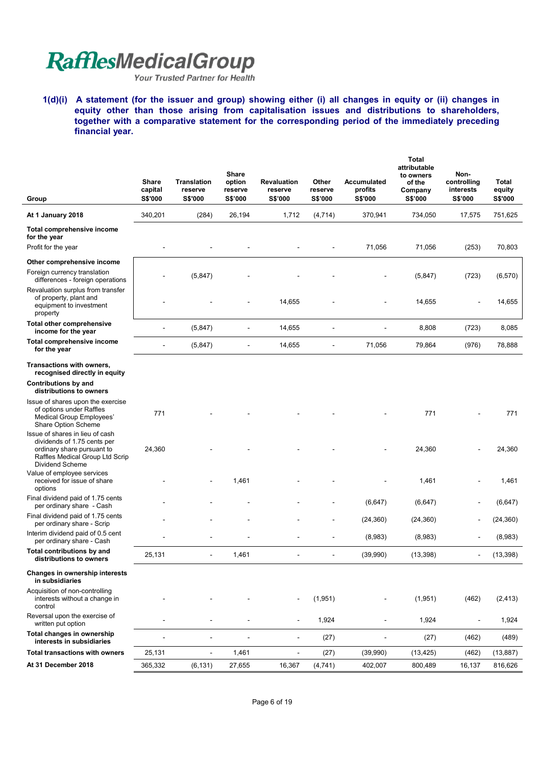Your Trusted Partner for Health

**1(d)(i) A statement (for the issuer and group) showing either (i) all changes in equity or (ii) changes in equity other than those arising from capitalisation issues and distributions to shareholders, together with a comparative statement for the corresponding period of the immediately preceding financial year.** 

| Group                                                                                                                                              | <b>Share</b><br>capital<br><b>S\$'000</b> | <b>Translation</b><br>reserve<br><b>S\$'000</b> | Share<br>option<br>reserve<br>S\$'000 | <b>Revaluation</b><br>reserve<br>S\$'000 | Other<br>reserve<br>S\$'000 | <b>Accumulated</b><br>profits<br><b>S\$'000</b> | <b>Total</b><br>attributable<br>to owners<br>of the<br>Company<br>S\$'000 | Non-<br>controlling<br>interests<br>S\$'000 | <b>Total</b><br>equity<br><b>S\$'000</b> |
|----------------------------------------------------------------------------------------------------------------------------------------------------|-------------------------------------------|-------------------------------------------------|---------------------------------------|------------------------------------------|-----------------------------|-------------------------------------------------|---------------------------------------------------------------------------|---------------------------------------------|------------------------------------------|
| At 1 January 2018                                                                                                                                  | 340,201                                   | (284)                                           | 26,194                                | 1,712                                    | (4, 714)                    | 370,941                                         | 734,050                                                                   | 17,575                                      | 751,625                                  |
| Total comprehensive income<br>for the year                                                                                                         |                                           |                                                 |                                       |                                          |                             |                                                 |                                                                           |                                             |                                          |
| Profit for the year                                                                                                                                |                                           |                                                 |                                       |                                          |                             | 71,056                                          | 71,056                                                                    | (253)                                       | 70,803                                   |
| Other comprehensive income                                                                                                                         |                                           |                                                 |                                       |                                          |                             |                                                 |                                                                           |                                             |                                          |
| Foreign currency translation<br>differences - foreign operations                                                                                   |                                           | (5,847)                                         |                                       |                                          |                             |                                                 | (5,847)                                                                   | (723)                                       | (6, 570)                                 |
| Revaluation surplus from transfer<br>of property, plant and<br>equipment to investment<br>property                                                 |                                           |                                                 |                                       | 14,655                                   |                             |                                                 | 14,655                                                                    |                                             | 14,655                                   |
| <b>Total other comprehensive</b><br>income for the year                                                                                            |                                           | (5,847)                                         | $\blacksquare$                        | 14,655                                   |                             |                                                 | 8,808                                                                     | (723)                                       | 8,085                                    |
| <b>Total comprehensive income</b><br>for the year                                                                                                  | ÷.                                        | (5, 847)                                        |                                       | 14,655                                   |                             | 71,056                                          | 79,864                                                                    | (976)                                       | 78,888                                   |
| Transactions with owners,<br>recognised directly in equity                                                                                         |                                           |                                                 |                                       |                                          |                             |                                                 |                                                                           |                                             |                                          |
| Contributions by and<br>distributions to owners                                                                                                    |                                           |                                                 |                                       |                                          |                             |                                                 |                                                                           |                                             |                                          |
| Issue of shares upon the exercise<br>of options under Raffles<br>Medical Group Employees'<br>Share Option Scheme                                   | 771                                       |                                                 |                                       |                                          |                             |                                                 | 771                                                                       |                                             | 771                                      |
| Issue of shares in lieu of cash<br>dividends of 1.75 cents per<br>ordinary share pursuant to<br>Raffles Medical Group Ltd Scrip<br>Dividend Scheme | 24,360                                    |                                                 |                                       |                                          |                             |                                                 | 24,360                                                                    |                                             | 24,360                                   |
| Value of employee services<br>received for issue of share<br>options                                                                               |                                           |                                                 | 1,461                                 |                                          |                             |                                                 | 1,461                                                                     |                                             | 1,461                                    |
| Final dividend paid of 1.75 cents<br>per ordinary share - Cash                                                                                     |                                           |                                                 |                                       |                                          |                             | (6,647)                                         | (6, 647)                                                                  | $\qquad \qquad \blacksquare$                | (6, 647)                                 |
| Final dividend paid of 1.75 cents<br>per ordinary share - Scrip                                                                                    |                                           |                                                 |                                       |                                          |                             | (24, 360)                                       | (24, 360)                                                                 | $\blacksquare$                              | (24, 360)                                |
| Interim dividend paid of 0.5 cent<br>per ordinary share - Cash                                                                                     |                                           |                                                 |                                       |                                          | L,                          | (8,983)                                         | (8,983)                                                                   | $\blacksquare$                              | (8,983)                                  |
| <b>Total contributions by and</b><br>distributions to owners                                                                                       | 25,131                                    |                                                 | 1,461                                 |                                          |                             | (39,990)                                        | (13, 398)                                                                 | $\overline{\phantom{a}}$                    | (13, 398)                                |
| Changes in ownership interests<br>in subsidiaries                                                                                                  |                                           |                                                 |                                       |                                          |                             |                                                 |                                                                           |                                             |                                          |
| Acquisition of non-controlling<br>interests without a change in<br>control                                                                         |                                           |                                                 |                                       |                                          | (1,951)                     |                                                 | (1,951)                                                                   | (462)                                       | (2, 413)                                 |
| Reversal upon the exercise of<br>written put option                                                                                                |                                           |                                                 |                                       | $\overline{\phantom{a}}$                 | 1,924                       | $\blacksquare$                                  | 1,924                                                                     | $\overline{\phantom{a}}$                    | 1,924                                    |
| Total changes in ownership<br>interests in subsidiaries                                                                                            | ÷                                         | $\blacksquare$                                  | $\overline{\phantom{a}}$              | $\blacksquare$                           | (27)                        | $\blacksquare$                                  | (27)                                                                      | (462)                                       | (489)                                    |
| <b>Total transactions with owners</b>                                                                                                              | 25,131                                    | $\blacksquare$                                  | 1,461                                 | $\ddot{\phantom{a}}$                     | (27)                        | (39,990)                                        | (13, 425)                                                                 | (462)                                       | (13, 887)                                |
| At 31 December 2018                                                                                                                                | 365,332                                   | (6, 131)                                        | 27,655                                | 16,367                                   | (4,741)                     | 402,007                                         | 800,489                                                                   | 16,137                                      | 816,626                                  |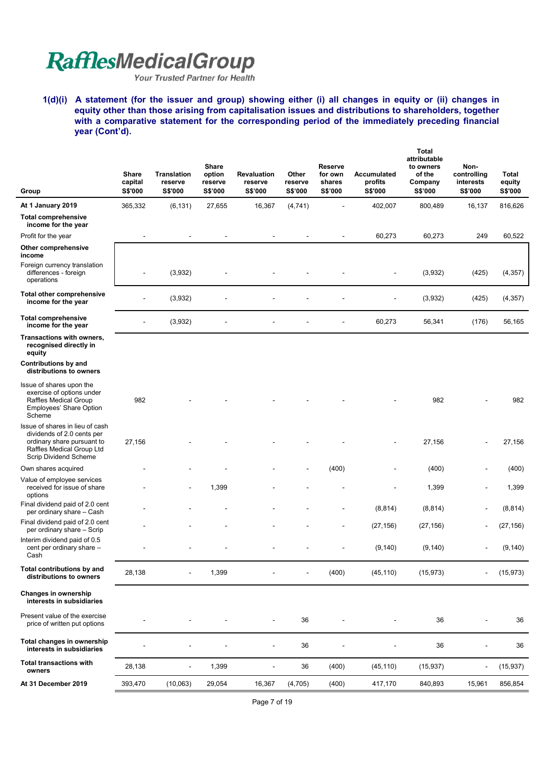Your Trusted Partner for Health

**1(d)(i) A statement (for the issuer and group) showing either (i) all changes in equity or (ii) changes in equity other than those arising from capitalisation issues and distributions to shareholders, together** with a comparative statement for the corresponding period of the immediately preceding financial **year (Cont'd).** 

| Group                                                                                                                                             | <b>Share</b><br>capital<br><b>S\$'000</b> | <b>Translation</b><br>reserve<br><b>S\$'000</b> | <b>Share</b><br>option<br>reserve<br><b>S\$'000</b> | <b>Revaluation</b><br>reserve<br>S\$'000 | Other<br>reserve<br>S\$'000 | Reserve<br>for own<br>shares<br>S\$'000 | Accumulated<br>profits<br><b>S\$'000</b> | <b>Total</b><br>attributable<br>to owners<br>of the<br>Company<br>S\$'000 | Non-<br>controlling<br>interests<br>S\$'000 | Total<br>equity<br><b>S\$'000</b> |
|---------------------------------------------------------------------------------------------------------------------------------------------------|-------------------------------------------|-------------------------------------------------|-----------------------------------------------------|------------------------------------------|-----------------------------|-----------------------------------------|------------------------------------------|---------------------------------------------------------------------------|---------------------------------------------|-----------------------------------|
| At 1 January 2019                                                                                                                                 | 365,332                                   | (6, 131)                                        | 27,655                                              | 16,367                                   | (4, 741)                    |                                         | 402,007                                  | 800,489                                                                   | 16,137                                      | 816,626                           |
| <b>Total comprehensive</b><br>income for the year                                                                                                 |                                           |                                                 |                                                     |                                          |                             |                                         |                                          |                                                                           |                                             |                                   |
| Profit for the year                                                                                                                               |                                           |                                                 |                                                     |                                          |                             |                                         | 60,273                                   | 60,273                                                                    | 249                                         | 60,522                            |
| Other comprehensive<br>income                                                                                                                     |                                           |                                                 |                                                     |                                          |                             |                                         |                                          |                                                                           |                                             |                                   |
| Foreign currency translation<br>differences - foreign<br>operations                                                                               |                                           | (3,932)                                         |                                                     |                                          |                             |                                         |                                          | (3,932)                                                                   | (425)                                       | (4, 357)                          |
| <b>Total other comprehensive</b><br>income for the year                                                                                           |                                           | (3,932)                                         |                                                     |                                          |                             |                                         |                                          | (3,932)                                                                   | (425)                                       | (4, 357)                          |
| <b>Total comprehensive</b><br>income for the year                                                                                                 |                                           | (3,932)                                         |                                                     |                                          |                             |                                         | 60,273                                   | 56,341                                                                    | (176)                                       | 56,165                            |
| Transactions with owners,<br>recognised directly in<br>equity                                                                                     |                                           |                                                 |                                                     |                                          |                             |                                         |                                          |                                                                           |                                             |                                   |
| Contributions by and<br>distributions to owners                                                                                                   |                                           |                                                 |                                                     |                                          |                             |                                         |                                          |                                                                           |                                             |                                   |
| Issue of shares upon the<br>exercise of options under<br>Raffles Medical Group<br>Employees' Share Option<br>Scheme                               | 982                                       |                                                 |                                                     |                                          |                             |                                         |                                          | 982                                                                       |                                             | 982                               |
| Issue of shares in lieu of cash<br>dividends of 2.0 cents per<br>ordinary share pursuant to<br>Raffles Medical Group Ltd<br>Scrip Dividend Scheme | 27,156                                    |                                                 |                                                     |                                          |                             |                                         |                                          | 27,156                                                                    |                                             | 27,156                            |
| Own shares acquired                                                                                                                               |                                           |                                                 |                                                     |                                          |                             | (400)                                   |                                          | (400)                                                                     |                                             | (400)                             |
| Value of employee services<br>received for issue of share<br>options                                                                              |                                           |                                                 | 1,399                                               |                                          |                             |                                         |                                          | 1,399                                                                     |                                             | 1,399                             |
| Final dividend paid of 2.0 cent<br>per ordinary share - Cash                                                                                      |                                           |                                                 |                                                     |                                          |                             |                                         | (8, 814)                                 | (8, 814)                                                                  |                                             | (8, 814)                          |
| Final dividend paid of 2.0 cent<br>per ordinary share - Scrip                                                                                     |                                           |                                                 |                                                     |                                          |                             |                                         | (27, 156)                                | (27, 156)                                                                 |                                             | (27, 156)                         |
| Interim dividend paid of 0.5<br>cent per ordinary share -<br>Cash                                                                                 |                                           |                                                 |                                                     |                                          |                             |                                         | (9, 140)                                 | (9, 140)                                                                  |                                             | (9, 140)                          |
| Total contributions by and<br>distributions to owners                                                                                             | 28,138                                    |                                                 | 1,399                                               |                                          |                             | (400)                                   | (45, 110)                                | (15, 973)                                                                 |                                             | (15, 973)                         |
| <b>Changes in ownership</b><br>interests in subsidiaries                                                                                          |                                           |                                                 |                                                     |                                          |                             |                                         |                                          |                                                                           |                                             |                                   |
| Present value of the exercise<br>price of written put options                                                                                     |                                           |                                                 |                                                     |                                          | 36                          |                                         |                                          | 36                                                                        |                                             | 36                                |
| Total changes in ownership<br>interests in subsidiaries                                                                                           |                                           |                                                 |                                                     |                                          | 36                          |                                         |                                          | 36                                                                        |                                             | 36                                |
| <b>Total transactions with</b><br>owners                                                                                                          | 28,138                                    |                                                 | 1,399                                               | $\blacksquare$                           | 36                          | (400)                                   | (45, 110)                                | (15, 937)                                                                 |                                             | (15, 937)                         |
| At 31 December 2019                                                                                                                               | 393,470                                   | (10,063)                                        | 29,054                                              | 16,367                                   | (4,705)                     | (400)                                   | 417,170                                  | 840,893                                                                   | 15,961                                      | 856,854                           |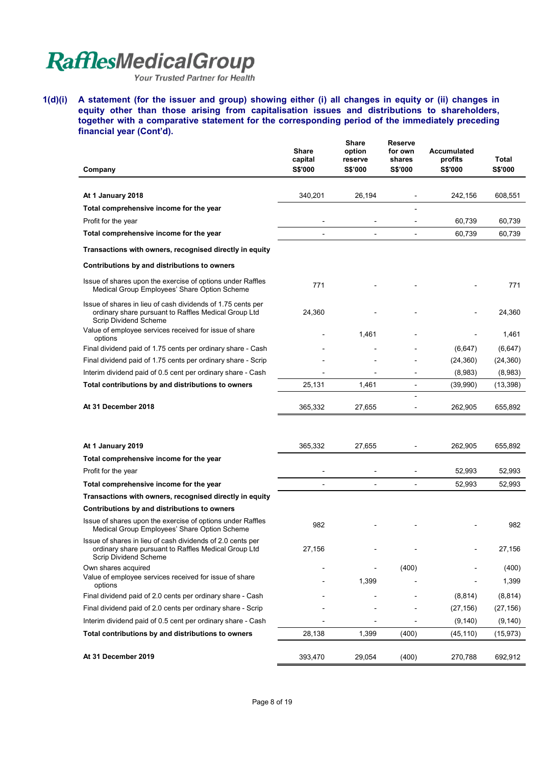Your Trusted Partner for Health

**1(d)(i) A statement (for the issuer and group) showing either (i) all changes in equity or (ii) changes in equity other than those arising from capitalisation issues and distributions to shareholders, together with a comparative statement for the corresponding period of the immediately preceding financial year (Cont'd).** 

|                                                                                                                                                     | Share<br>capital | <b>Share</b><br>option<br>reserve | <b>Reserve</b><br>for own<br>shares | Accumulated<br>profits | Total          |
|-----------------------------------------------------------------------------------------------------------------------------------------------------|------------------|-----------------------------------|-------------------------------------|------------------------|----------------|
| Company                                                                                                                                             | <b>S\$'000</b>   | S\$'000                           | S\$'000                             | <b>S\$'000</b>         | <b>S\$'000</b> |
| At 1 January 2018                                                                                                                                   | 340,201          | 26,194                            |                                     | 242,156                | 608,551        |
| Total comprehensive income for the year                                                                                                             |                  |                                   |                                     |                        |                |
| Profit for the year                                                                                                                                 |                  |                                   |                                     | 60,739                 | 60,739         |
| Total comprehensive income for the year                                                                                                             | $\overline{a}$   | $\overline{a}$                    | $\overline{a}$                      | 60,739                 | 60,739         |
| Transactions with owners, recognised directly in equity                                                                                             |                  |                                   |                                     |                        |                |
| Contributions by and distributions to owners                                                                                                        |                  |                                   |                                     |                        |                |
| Issue of shares upon the exercise of options under Raffles<br>Medical Group Employees' Share Option Scheme                                          | 771              |                                   |                                     |                        | 771            |
| Issue of shares in lieu of cash dividends of 1.75 cents per<br>ordinary share pursuant to Raffles Medical Group Ltd<br><b>Scrip Dividend Scheme</b> | 24,360           |                                   |                                     |                        | 24,360         |
| Value of employee services received for issue of share<br>options                                                                                   |                  | 1,461                             |                                     |                        | 1,461          |
| Final dividend paid of 1.75 cents per ordinary share - Cash                                                                                         |                  |                                   |                                     | (6, 647)               | (6, 647)       |
| Final dividend paid of 1.75 cents per ordinary share - Scrip                                                                                        |                  |                                   |                                     | (24, 360)              | (24, 360)      |
| Interim dividend paid of 0.5 cent per ordinary share - Cash                                                                                         |                  |                                   |                                     | (8,983)                | (8,983)        |
| Total contributions by and distributions to owners                                                                                                  | 25,131           | 1,461                             | $\overline{\phantom{0}}$            | (39,990)               | (13, 398)      |
| At 31 December 2018                                                                                                                                 | 365,332          | 27,655                            | $\overline{a}$                      | 262,905                | 655,892        |
|                                                                                                                                                     |                  |                                   |                                     |                        |                |
| At 1 January 2019                                                                                                                                   | 365,332          | 27,655                            |                                     | 262,905                | 655,892        |
| Total comprehensive income for the year                                                                                                             |                  |                                   |                                     |                        |                |
| Profit for the year                                                                                                                                 |                  |                                   |                                     | 52,993                 | 52,993         |
| Total comprehensive income for the year                                                                                                             | $\blacksquare$   | $\overline{\phantom{0}}$          | $\overline{\phantom{0}}$            | 52,993                 | 52,993         |
| Transactions with owners, recognised directly in equity                                                                                             |                  |                                   |                                     |                        |                |
| Contributions by and distributions to owners                                                                                                        |                  |                                   |                                     |                        |                |
| Issue of shares upon the exercise of options under Raffles<br>Medical Group Employees' Share Option Scheme                                          | 982              |                                   |                                     |                        | 982            |
| Issue of shares in lieu of cash dividends of 2.0 cents per<br>ordinary share pursuant to Raffles Medical Group Ltd<br><b>Scrip Dividend Scheme</b>  | 27,156           |                                   |                                     |                        | 27,156         |
| Own shares acquired                                                                                                                                 |                  | $\overline{\phantom{a}}$          | (400)                               |                        | (400)          |
| Value of employee services received for issue of share<br>options                                                                                   |                  | 1,399                             |                                     |                        | 1,399          |
| Final dividend paid of 2.0 cents per ordinary share - Cash                                                                                          |                  |                                   |                                     | (8, 814)               | (8, 814)       |
| Final dividend paid of 2.0 cents per ordinary share - Scrip                                                                                         |                  |                                   |                                     | (27, 156)              | (27, 156)      |
| Interim dividend paid of 0.5 cent per ordinary share - Cash                                                                                         |                  |                                   |                                     | (9, 140)               | (9,140)        |
| Total contributions by and distributions to owners                                                                                                  | 28,138           | 1,399                             | (400)                               | (45, 110)              | (15, 973)      |
| At 31 December 2019                                                                                                                                 | 393,470          | 29,054                            | (400)                               | 270,788                | 692,912        |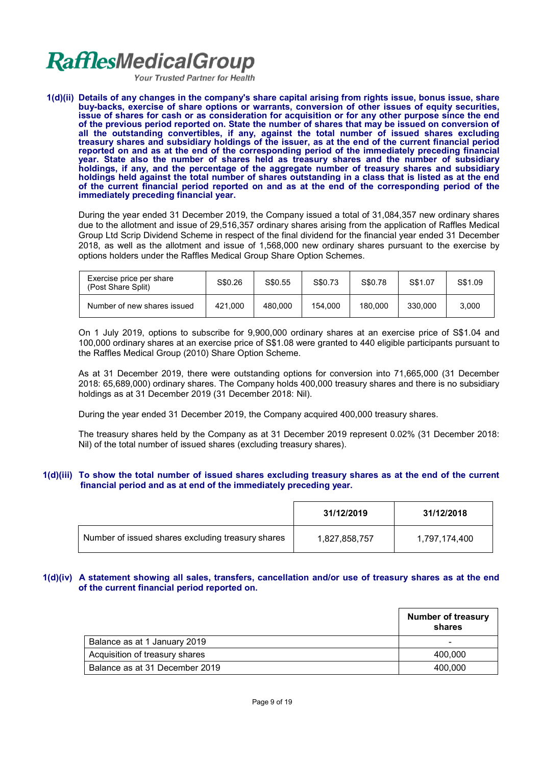**Your Trusted Partner for Health** 

**1(d)(ii) Details of any changes in the company's share capital arising from rights issue, bonus issue, share buy-backs, exercise of share options or warrants, conversion of other issues of equity securities, issue of shares for cash or as consideration for acquisition or for any other purpose since the end of the previous period reported on. State the number of shares that may be issued on conversion of all the outstanding convertibles, if any, against the total number of issued shares excluding treasury shares and subsidiary holdings of the issuer, as at the end of the current financial period reported on and as at the end of the corresponding period of the immediately preceding financial year. State also the number of shares held as treasury shares and the number of subsidiary holdings, if any, and the percentage of the aggregate number of treasury shares and subsidiary holdings held against the total number of shares outstanding in a class that is listed as at the end of the current financial period reported on and as at the end of the corresponding period of the immediately preceding financial year.** 

During the year ended 31 December 2019, the Company issued a total of 31,084,357 new ordinary shares due to the allotment and issue of 29,516,357 ordinary shares arising from the application of Raffles Medical Group Ltd Scrip Dividend Scheme in respect of the final dividend for the financial year ended 31 December 2018, as well as the allotment and issue of 1,568,000 new ordinary shares pursuant to the exercise by options holders under the Raffles Medical Group Share Option Schemes.

| Exercise price per share<br>(Post Share Split) | S\$0.26 | S\$0.55 | S\$0.73 | S\$0.78 | S\$1.07 | S\$1.09 |
|------------------------------------------------|---------|---------|---------|---------|---------|---------|
| Number of new shares issued                    | 421.000 | 480,000 | 154.000 | 180.000 | 330,000 | 3.000   |

On 1 July 2019, options to subscribe for 9,900,000 ordinary shares at an exercise price of S\$1.04 and 100,000 ordinary shares at an exercise price of S\$1.08 were granted to 440 eligible participants pursuant to the Raffles Medical Group (2010) Share Option Scheme.

As at 31 December 2019, there were outstanding options for conversion into 71,665,000 (31 December 2018: 65,689,000) ordinary shares. The Company holds 400,000 treasury shares and there is no subsidiary holdings as at 31 December 2019 (31 December 2018: Nil).

During the year ended 31 December 2019, the Company acquired 400,000 treasury shares.

The treasury shares held by the Company as at 31 December 2019 represent 0.02% (31 December 2018: Nil) of the total number of issued shares (excluding treasury shares).

## **1(d)(iii) To show the total number of issued shares excluding treasury shares as at the end of the current financial period and as at end of the immediately preceding year.**

|                                                   | 31/12/2019    | 31/12/2018    |
|---------------------------------------------------|---------------|---------------|
| Number of issued shares excluding treasury shares | 1,827,858,757 | 1,797,174,400 |

## **1(d)(iv) A statement showing all sales, transfers, cancellation and/or use of treasury shares as at the end of the current financial period reported on.**

|                                | <b>Number of treasury</b><br>shares |
|--------------------------------|-------------------------------------|
| Balance as at 1 January 2019   | -                                   |
| Acquisition of treasury shares | 400.000                             |
| Balance as at 31 December 2019 | 400.000                             |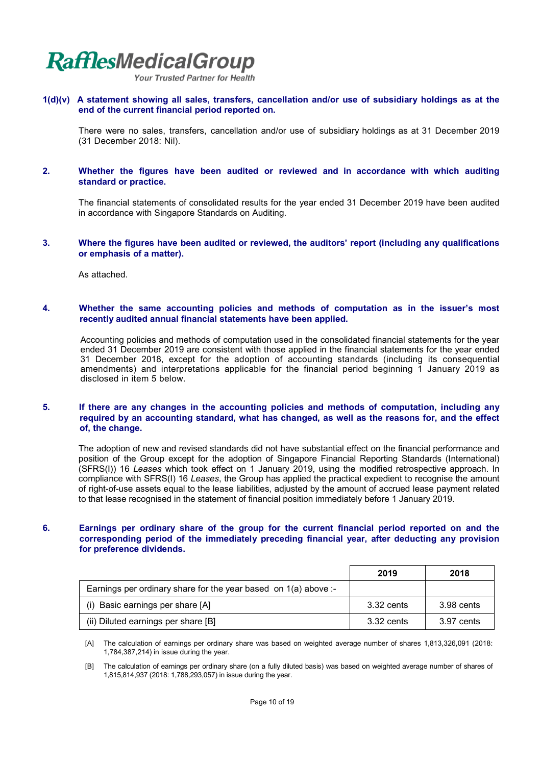**Your Trusted Partner for Health** 

**1(d)(v) A statement showing all sales, transfers, cancellation and/or use of subsidiary holdings as at the end of the current financial period reported on.** 

There were no sales, transfers, cancellation and/or use of subsidiary holdings as at 31 December 2019 (31 December 2018: Nil).

#### **2. Whether the figures have been audited or reviewed and in accordance with which auditing standard or practice.**

The financial statements of consolidated results for the year ended 31 December 2019 have been audited in accordance with Singapore Standards on Auditing.

#### **3. Where the figures have been audited or reviewed, the auditors' report (including any qualifications or emphasis of a matter).**

As attached.

### **4. Whether the same accounting policies and methods of computation as in the issuer's most recently audited annual financial statements have been applied.**

Accounting policies and methods of computation used in the consolidated financial statements for the year ended 31 December 2019 are consistent with those applied in the financial statements for the year ended 31 December 2018, except for the adoption of accounting standards (including its consequential amendments) and interpretations applicable for the financial period beginning 1 January 2019 as disclosed in item 5 below.

#### **5. If there are any changes in the accounting policies and methods of computation, including any required by an accounting standard, what has changed, as well as the reasons for, and the effect of, the change.**

The adoption of new and revised standards did not have substantial effect on the financial performance and position of the Group except for the adoption of Singapore Financial Reporting Standards (International) (SFRS(I)) 16 *Leases* which took effect on 1 January 2019, using the modified retrospective approach. In compliance with SFRS(I) 16 *Leases*, the Group has applied the practical expedient to recognise the amount of right-of-use assets equal to the lease liabilities, adjusted by the amount of accrued lease payment related to that lease recognised in the statement of financial position immediately before 1 January 2019.

### **6. Earnings per ordinary share of the group for the current financial period reported on and the corresponding period of the immediately preceding financial year, after deducting any provision for preference dividends.**

|                                                                   | 2019       | 2018       |
|-------------------------------------------------------------------|------------|------------|
| Earnings per ordinary share for the year based on $1(a)$ above :- |            |            |
| (i) Basic earnings per share [A]                                  | 3.32 cents | 3.98 cents |
| (ii) Diluted earnings per share [B]                               | 3.32 cents | 3.97 cents |

 [A] The calculation of earnings per ordinary share was based on weighted average number of shares 1,813,326,091 (2018: 1,784,387,214) in issue during the year.

 [B] The calculation of earnings per ordinary share (on a fully diluted basis) was based on weighted average number of shares of 1,815,814,937 (2018: 1,788,293,057) in issue during the year.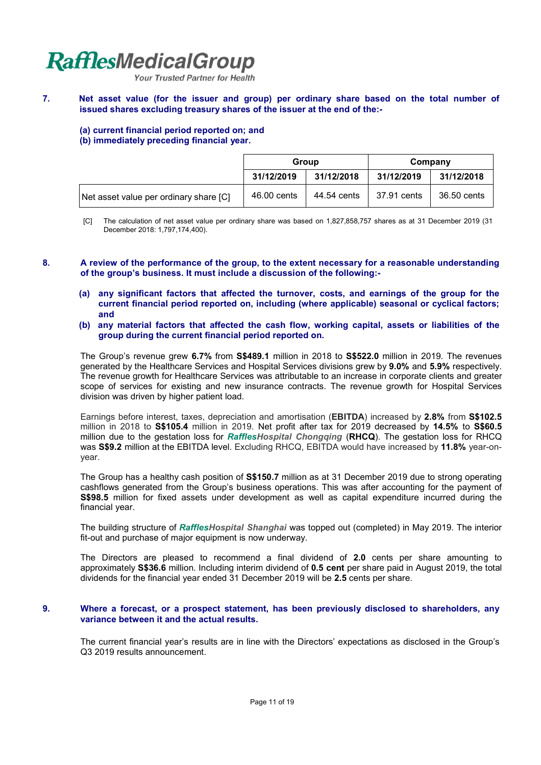Your Trusted Partner for Health

**7. Net asset value (for the issuer and group) per ordinary share based on the total number of issued shares excluding treasury shares of the issuer at the end of the:-**

## **(a) current financial period reported on; and (b) immediately preceding financial year.**

|                                        | Group       |             | Company     |             |
|----------------------------------------|-------------|-------------|-------------|-------------|
|                                        | 31/12/2019  | 31/12/2018  | 31/12/2019  | 31/12/2018  |
| Net asset value per ordinary share [C] | 46.00 cents | 44.54 cents | 37.91 cents | 36.50 cents |

- [C] The calculation of net asset value per ordinary share was based on 1,827,858,757 shares as at 31 December 2019 (31 December 2018: 1,797,174,400).
- **8. A review of the performance of the group, to the extent necessary for a reasonable understanding of the group's business. It must include a discussion of the following:-**
	- **(a) any significant factors that affected the turnover, costs, and earnings of the group for the current financial period reported on, including (where applicable) seasonal or cyclical factors; and**
	- **(b) any material factors that affected the cash flow, working capital, assets or liabilities of the group during the current financial period reported on.**

The Group's revenue grew **6.7%** from **S\$489.1** million in 2018 to **S\$522.0** million in 2019. The revenues generated by the Healthcare Services and Hospital Services divisions grew by **9.0%** and **5.9%** respectively. The revenue growth for Healthcare Services was attributable to an increase in corporate clients and greater scope of services for existing and new insurance contracts. The revenue growth for Hospital Services division was driven by higher patient load.

Earnings before interest, taxes, depreciation and amortisation (**EBITDA**) increased by **2.8%** from **S\$102.5**  million in 2018 to **S\$105.4** million in 2019. Net profit after tax for 2019 decreased by **14.5%** to **S\$60.5**  million due to the gestation loss for *RafflesHospital Chongqing* (**RHCQ**). The gestation loss for RHCQ was **S\$9.2** million at the EBITDA level. Excluding RHCQ, EBITDA would have increased by **11.8%** year-onyear.

The Group has a healthy cash position of **S\$150.7** million as at 31 December 2019 due to strong operating cashflows generated from the Group's business operations. This was after accounting for the payment of **S\$98.5** million for fixed assets under development as well as capital expenditure incurred during the financial year.

The building structure of *RafflesHospital Shanghai* was topped out (completed) in May 2019. The interior fit-out and purchase of major equipment is now underway.

The Directors are pleased to recommend a final dividend of **2.0** cents per share amounting to approximately **S\$36.6** million. Including interim dividend of **0.5 cent** per share paid in August 2019, the total dividends for the financial year ended 31 December 2019 will be **2.5** cents per share.

## **9. Where a forecast, or a prospect statement, has been previously disclosed to shareholders, any variance between it and the actual results.**

The current financial year's results are in line with the Directors' expectations as disclosed in the Group's Q3 2019 results announcement.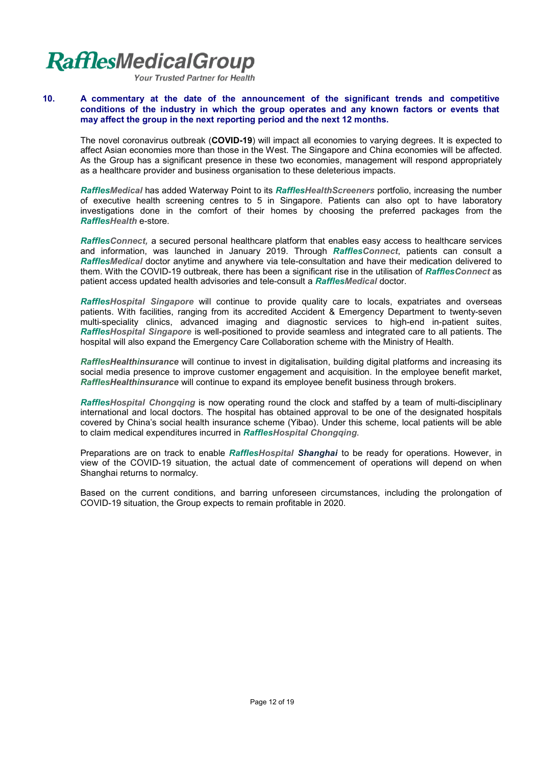**Your Trusted Partner for Health** 

### **10. A commentary at the date of the announcement of the significant trends and competitive conditions of the industry in which the group operates and any known factors or events that may affect the group in the next reporting period and the next 12 months.**

 The novel coronavirus outbreak (**COVID-19**) will impact all economies to varying degrees. It is expected to affect Asian economies more than those in the West. The Singapore and China economies will be affected. As the Group has a significant presence in these two economies, management will respond appropriately as a healthcare provider and business organisation to these deleterious impacts.

 *RafflesMedical* has added Waterway Point to its *RafflesHealthScreeners* portfolio, increasing the number of executive health screening centres to 5 in Singapore. Patients can also opt to have laboratory investigations done in the comfort of their homes by choosing the preferred packages from the *RafflesHealth* e-store.

*RafflesConnect,* a secured personal healthcare platform that enables easy access to healthcare services and information, was launched in January 2019. Through *RafflesConnect*, patients can consult a *RafflesMedical* doctor anytime and anywhere via tele-consultation and have their medication delivered to them. With the COVID-19 outbreak, there has been a significant rise in the utilisation of *RafflesConnect* as patient access updated health advisories and tele-consult a *RafflesMedical* doctor.

*RafflesHospital Singapore* will continue to provide quality care to locals, expatriates and overseas patients. With facilities, ranging from its accredited Accident & Emergency Department to twenty-seven multi-speciality clinics, advanced imaging and diagnostic services to high-end in-patient suites, *RafflesHospital Singapore* is well-positioned to provide seamless and integrated care to all patients. The hospital will also expand the Emergency Care Collaboration scheme with the Ministry of Health.

*RafflesHealthinsurance* will continue to invest in digitalisation, building digital platforms and increasing its social media presence to improve customer engagement and acquisition. In the employee benefit market, *RafflesHealthinsurance* will continue to expand its employee benefit business through brokers.

*RafflesHospital Chongqing* is now operating round the clock and staffed by a team of multi-disciplinary international and local doctors. The hospital has obtained approval to be one of the designated hospitals covered by China's social health insurance scheme (Yibao). Under this scheme, local patients will be able to claim medical expenditures incurred in *RafflesHospital Chongqing*.

Preparations are on track to enable *RafflesHospital Shanghai* to be ready for operations. However, in view of the COVID-19 situation, the actual date of commencement of operations will depend on when Shanghai returns to normalcy.

Based on the current conditions, and barring unforeseen circumstances, including the prolongation of COVID-19 situation, the Group expects to remain profitable in 2020.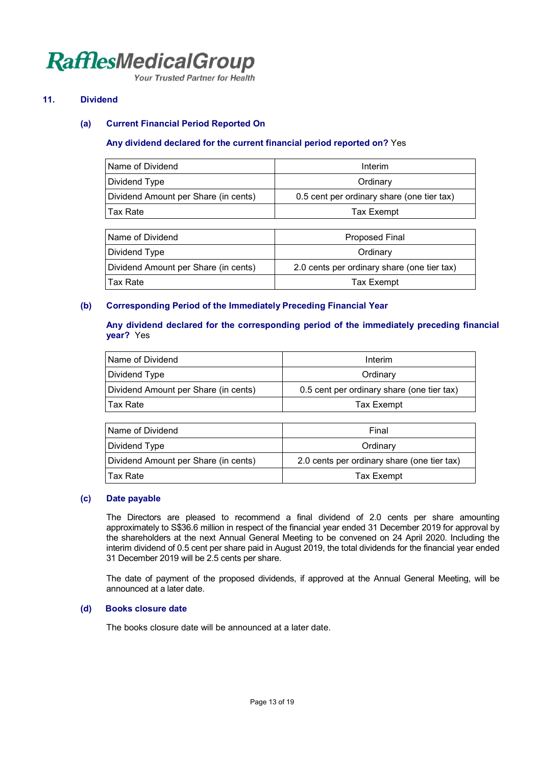**Your Trusted Partner for Health** 

## **11. Dividend**

## **(a) Current Financial Period Reported On**

## **Any dividend declared for the current financial period reported on?** Yes

| Name of Dividend                     | Interim                                     |  |  |
|--------------------------------------|---------------------------------------------|--|--|
| Dividend Type                        | Ordinary                                    |  |  |
| Dividend Amount per Share (in cents) | 0.5 cent per ordinary share (one tier tax)  |  |  |
| Tax Rate                             | Tax Exempt                                  |  |  |
|                                      |                                             |  |  |
| Name of Dividend                     | Proposed Final                              |  |  |
| Dividend Type                        | Ordinary                                    |  |  |
| Dividend Amount per Share (in cents) | 2.0 cents per ordinary share (one tier tax) |  |  |
| Tax Rate                             | Tax Exempt                                  |  |  |

## **(b) Corresponding Period of the Immediately Preceding Financial Year**

## **Any dividend declared for the corresponding period of the immediately preceding financial year?** Yes

| Name of Dividend                     | Interim                                    |
|--------------------------------------|--------------------------------------------|
| Dividend Type                        | Ordinary                                   |
| Dividend Amount per Share (in cents) | 0.5 cent per ordinary share (one tier tax) |
| ⊺Tax Rate                            | Tax Exempt                                 |

| Name of Dividend                     | Final                                       |
|--------------------------------------|---------------------------------------------|
| Dividend Type                        | Ordinary                                    |
| Dividend Amount per Share (in cents) | 2.0 cents per ordinary share (one tier tax) |
| Tax Rate                             | Tax Exempt                                  |

### **(c) Date payable**

The Directors are pleased to recommend a final dividend of 2.0 cents per share amounting approximately to S\$36.6 million in respect of the financial year ended 31 December 2019 for approval by the shareholders at the next Annual General Meeting to be convened on 24 April 2020. Including the interim dividend of 0.5 cent per share paid in August 2019, the total dividends for the financial year ended 31 December 2019 will be 2.5 cents per share.

The date of payment of the proposed dividends, if approved at the Annual General Meeting, will be announced at a later date.

### **(d) Books closure date**

The books closure date will be announced at a later date.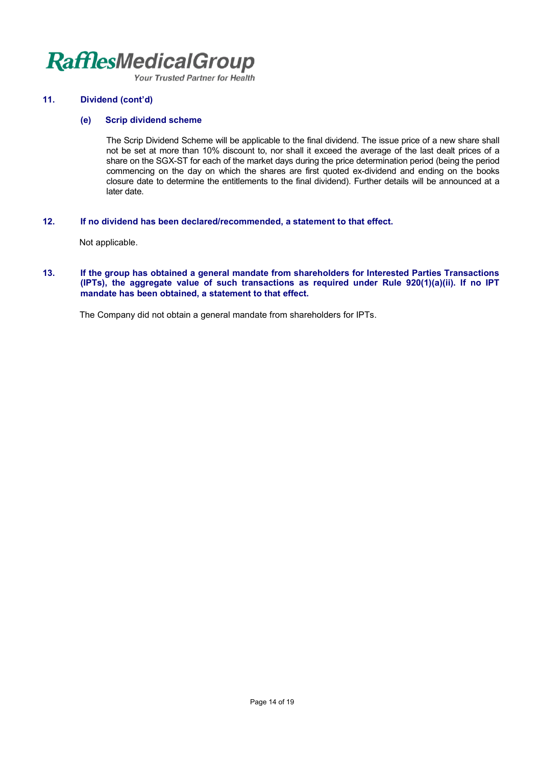**Your Trusted Partner for Health** 

## **11. Dividend (cont'd)**

## **(e) Scrip dividend scheme**

The Scrip Dividend Scheme will be applicable to the final dividend. The issue price of a new share shall not be set at more than 10% discount to, nor shall it exceed the average of the last dealt prices of a share on the SGX-ST for each of the market days during the price determination period (being the period commencing on the day on which the shares are first quoted ex-dividend and ending on the books closure date to determine the entitlements to the final dividend). Further details will be announced at a later date.

## **12. If no dividend has been declared/recommended, a statement to that effect.**

Not applicable.

### **13. If the group has obtained a general mandate from shareholders for Interested Parties Transactions (IPTs), the aggregate value of such transactions as required under Rule 920(1)(a)(ii). If no IPT mandate has been obtained, a statement to that effect.**

The Company did not obtain a general mandate from shareholders for IPTs.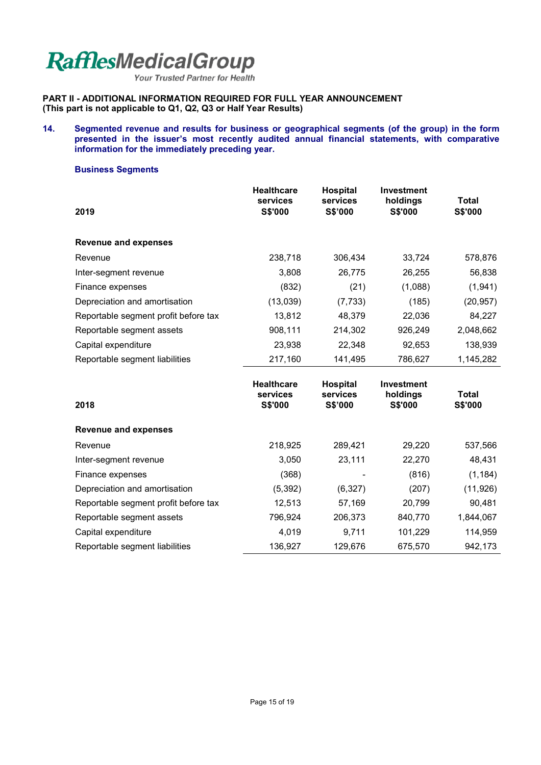Your Trusted Partner for Health

**PART II - ADDITIONAL INFORMATION REQUIRED FOR FULL YEAR ANNOUNCEMENT (This part is not applicable to Q1, Q2, Q3 or Half Year Results)** 

### **14. Segmented revenue and results for business or geographical segments (of the group) in the form presented in the issuer's most recently audited annual financial statements, with comparative information for the immediately preceding year.**

### **Business Segments**

| 2019                                 | <b>Healthcare</b><br>services<br><b>S\$'000</b> | <b>Hospital</b><br>services<br>S\$'000 | <b>Investment</b><br>holdings<br><b>S\$'000</b> | <b>Total</b><br>S\$'000        |
|--------------------------------------|-------------------------------------------------|----------------------------------------|-------------------------------------------------|--------------------------------|
| <b>Revenue and expenses</b>          |                                                 |                                        |                                                 |                                |
| Revenue                              | 238,718                                         | 306,434                                | 33,724                                          | 578,876                        |
| Inter-segment revenue                | 3,808                                           | 26,775                                 | 26,255                                          | 56,838                         |
| Finance expenses                     | (832)                                           | (21)                                   | (1,088)                                         | (1,941)                        |
| Depreciation and amortisation        | (13,039)                                        | (7, 733)                               | (185)                                           | (20, 957)                      |
| Reportable segment profit before tax | 13,812                                          | 48,379                                 | 22,036                                          | 84,227                         |
| Reportable segment assets            | 908,111                                         | 214,302                                | 926,249                                         | 2,048,662                      |
| Capital expenditure                  | 23,938                                          | 22,348                                 | 92,653                                          | 138,939                        |
| Reportable segment liabilities       | 217,160                                         | 141,495                                | 786,627                                         | 1,145,282                      |
| 2018                                 | <b>Healthcare</b><br>services<br><b>S\$'000</b> | <b>Hospital</b><br>services<br>S\$'000 | Investment<br>holdings<br><b>S\$'000</b>        | <b>Total</b><br><b>S\$'000</b> |
| <b>Revenue and expenses</b>          |                                                 |                                        |                                                 |                                |
| Revenue                              | 218,925                                         | 289,421                                | 29,220                                          | 537,566                        |
| Inter-segment revenue                | 3,050                                           | 23,111                                 | 22,270                                          | 48,431                         |
| Finance expenses                     | (368)                                           |                                        | (816)                                           | (1, 184)                       |
| Depreciation and amortisation        | (5, 392)                                        | (6, 327)                               | (207)                                           | (11, 926)                      |
| Reportable segment profit before tax | 12,513                                          | 57,169                                 | 20,799                                          | 90,481                         |
| Reportable segment assets            | 796,924                                         | 206,373                                | 840,770                                         | 1,844,067                      |

Capital expenditure **4,019** 101,229 114,959 Reportable segment liabilities 136,927 129,676 675,570 942,173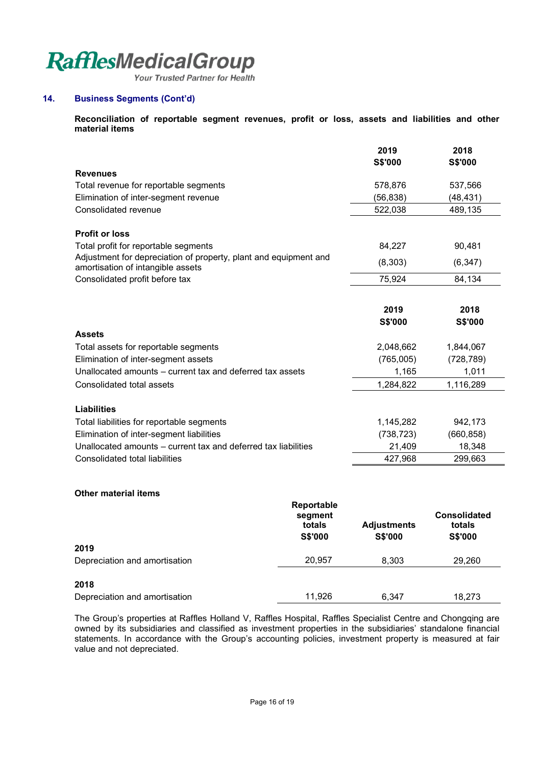Your Trusted Partner for Health

## **14. Business Segments (Cont'd)**

**Reconciliation of reportable segment revenues, profit or loss, assets and liabilities and other material items** 

|                                                                                                       | 2019           | 2018           |
|-------------------------------------------------------------------------------------------------------|----------------|----------------|
|                                                                                                       | S\$'000        | S\$'000        |
| <b>Revenues</b>                                                                                       |                |                |
| Total revenue for reportable segments                                                                 | 578,876        | 537,566        |
| Elimination of inter-segment revenue                                                                  | (56, 838)      | (48,431)       |
| Consolidated revenue                                                                                  | 522,038        | 489,135        |
| <b>Profit or loss</b>                                                                                 |                |                |
| Total profit for reportable segments                                                                  | 84,227         | 90,481         |
| Adjustment for depreciation of property, plant and equipment and<br>amortisation of intangible assets | (8,303)        | (6, 347)       |
| Consolidated profit before tax                                                                        | 75,924         | 84,134         |
|                                                                                                       |                |                |
|                                                                                                       | 2019           | 2018           |
|                                                                                                       | <b>S\$'000</b> | <b>S\$'000</b> |
| <b>Assets</b>                                                                                         |                |                |
| Total assets for reportable segments                                                                  | 2,048,662      | 1,844,067      |
| Elimination of inter-segment assets                                                                   | (765,005)      | (728, 789)     |
| Unallocated amounts – current tax and deferred tax assets                                             | 1,165          | 1,011          |
| Consolidated total assets                                                                             | 1,284,822      | 1,116,289      |
| <b>Liabilities</b>                                                                                    |                |                |
| Total liabilities for reportable segments                                                             | 1,145,282      | 942,173        |
| Elimination of inter-segment liabilities                                                              | (738, 723)     | (660, 858)     |
| Unallocated amounts – current tax and deferred tax liabilities                                        | 21,409         | 18,348         |
| Consolidated total liabilities                                                                        | 427,968        | 299,663        |

## **Other material items**

|                               | Reportable<br>segment<br>totals<br><b>S\$'000</b> | <b>Adjustments</b><br><b>S\$'000</b> | <b>Consolidated</b><br>totals<br>S\$'000 |
|-------------------------------|---------------------------------------------------|--------------------------------------|------------------------------------------|
| 2019                          |                                                   |                                      |                                          |
| Depreciation and amortisation | 20,957                                            | 8,303                                | 29,260                                   |
| 2018                          |                                                   |                                      |                                          |
| Depreciation and amortisation | 11,926                                            | 6.347                                | 18,273                                   |

The Group's properties at Raffles Holland V, Raffles Hospital, Raffles Specialist Centre and Chongqing are owned by its subsidiaries and classified as investment properties in the subsidiaries' standalone financial statements. In accordance with the Group's accounting policies, investment property is measured at fair value and not depreciated.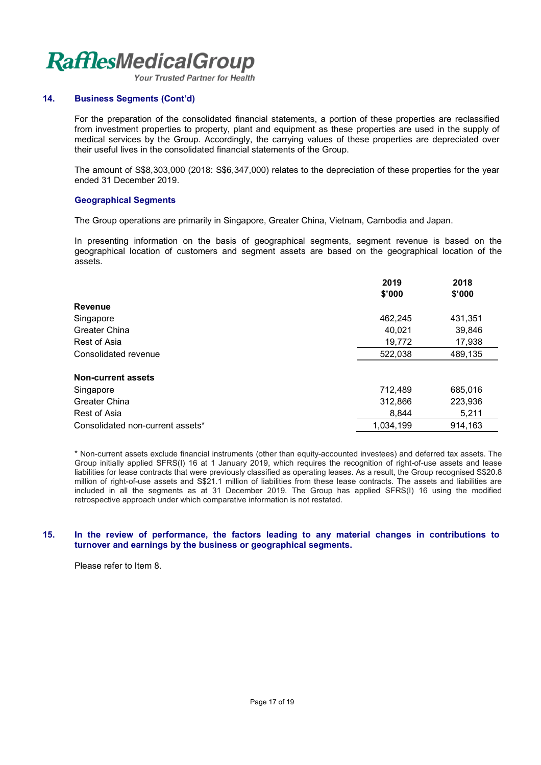Your Trusted Partner for Health

## **14. Business Segments (Cont'd)**

For the preparation of the consolidated financial statements, a portion of these properties are reclassified from investment properties to property, plant and equipment as these properties are used in the supply of medical services by the Group. Accordingly, the carrying values of these properties are depreciated over their useful lives in the consolidated financial statements of the Group.

The amount of S\$8,303,000 (2018: S\$6,347,000) relates to the depreciation of these properties for the year ended 31 December 2019.

## **Geographical Segments**

The Group operations are primarily in Singapore, Greater China, Vietnam, Cambodia and Japan.

In presenting information on the basis of geographical segments, segment revenue is based on the geographical location of customers and segment assets are based on the geographical location of the assets.

|                                  | 2019      | 2018    |
|----------------------------------|-----------|---------|
|                                  | \$'000    | \$'000  |
| <b>Revenue</b>                   |           |         |
| Singapore                        | 462,245   | 431,351 |
| Greater China                    | 40,021    | 39,846  |
| Rest of Asia                     | 19,772    | 17,938  |
| Consolidated revenue             | 522,038   | 489,135 |
| <b>Non-current assets</b>        |           |         |
| Singapore                        | 712,489   | 685,016 |
| <b>Greater China</b>             | 312,866   | 223,936 |
| Rest of Asia                     | 8,844     | 5,211   |
| Consolidated non-current assets* | 1.034.199 | 914,163 |

\* Non-current assets exclude financial instruments (other than equity-accounted investees) and deferred tax assets. The Group initially applied SFRS(I) 16 at 1 January 2019, which requires the recognition of right-of-use assets and lease liabilities for lease contracts that were previously classified as operating leases. As a result, the Group recognised S\$20.8 million of right-of-use assets and S\$21.1 million of liabilities from these lease contracts. The assets and liabilities are included in all the segments as at 31 December 2019. The Group has applied SFRS(I) 16 using the modified retrospective approach under which comparative information is not restated.

#### **15. In the review of performance, the factors leading to any material changes in contributions to turnover and earnings by the business or geographical segments.**

Please refer to Item 8.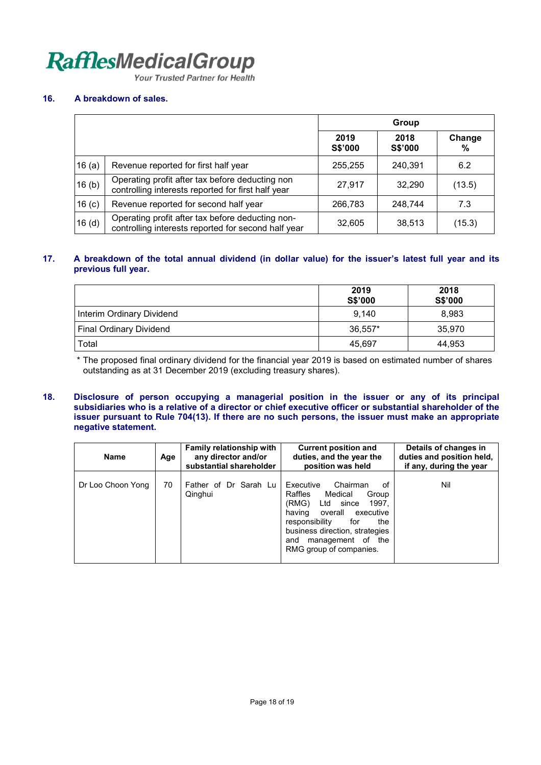Your Trusted Partner for Health

## **16. A breakdown of sales.**

|                   |                                                                                                         | Group           |                 |             |
|-------------------|---------------------------------------------------------------------------------------------------------|-----------------|-----------------|-------------|
|                   |                                                                                                         | 2019<br>S\$'000 | 2018<br>S\$'000 | Change<br>% |
| 16(a)             | Revenue reported for first half year                                                                    | 255,255         | 240,391         | 6.2         |
| 16(b)             | Operating profit after tax before deducting non<br>controlling interests reported for first half year   | 27,917          | 32,290          | (13.5)      |
| 16 <sub>(c)</sub> | Revenue reported for second half year                                                                   | 266,783         | 248,744         | 7.3         |
| 16 <sub>(d)</sub> | Operating profit after tax before deducting non-<br>controlling interests reported for second half year | 32,605          | 38,513          | (15.3)      |

## **17. A breakdown of the total annual dividend (in dollar value) for the issuer's latest full year and its previous full year.**

|                                | 2019<br><b>S\$'000</b> | 2018<br>S\$'000 |
|--------------------------------|------------------------|-----------------|
| Interim Ordinary Dividend      | 9,140                  | 8,983           |
| <b>Final Ordinary Dividend</b> | 36.557*                | 35.970          |
| Total                          | 45.697                 | 44.953          |

\* The proposed final ordinary dividend for the financial year 2019 is based on estimated number of shares outstanding as at 31 December 2019 (excluding treasury shares).

#### **18. Disclosure of person occupying a managerial position in the issuer or any of its principal subsidiaries who is a relative of a director or chief executive officer or substantial shareholder of the issuer pursuant to Rule 704(13). If there are no such persons, the issuer must make an appropriate negative statement.**

| <b>Name</b>       | Age | <b>Family relationship with</b><br>any director and/or<br>substantial shareholder | <b>Current position and</b><br>duties, and the year the<br>position was held                                                                                                                                                                      | Details of changes in<br>duties and position held,<br>if any, during the year |
|-------------------|-----|-----------------------------------------------------------------------------------|---------------------------------------------------------------------------------------------------------------------------------------------------------------------------------------------------------------------------------------------------|-------------------------------------------------------------------------------|
| Dr Loo Choon Yong | 70  | Father of Dr Sarah Lu<br>Qinghui                                                  | Chairman<br>Executive<br>οf<br>Raffles<br>Medical<br>Group<br>(RMG) Ltd<br>since<br>1997.<br>overall executive<br>having<br>responsibility<br>the<br>for<br>business direction, strategies<br>management of the<br>and<br>RMG group of companies. | Nil                                                                           |